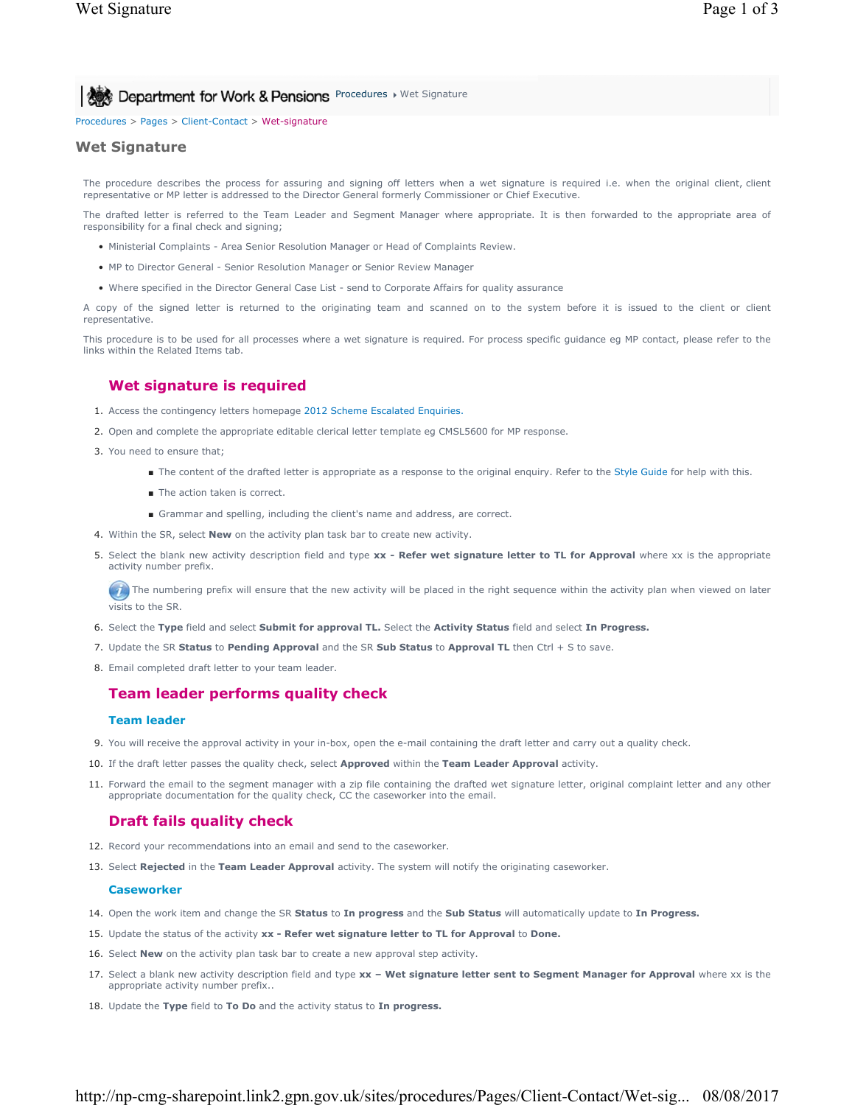# **Procedures > Wet Signature** Spensions Procedures > Wet Signature

Procedures > Pages > Client-Contact > Wet-signature

### **Wet Signature**

The procedure describes the process for assuring and signing off letters when a wet signature is required i.e. when the original client, client representative or MP letter is addressed to the Director General formerly Commissioner or Chief Executive.

The drafted letter is referred to the Team Leader and Segment Manager where appropriate. It is then forwarded to the appropriate area of responsibility for a final check and signing;

- Ministerial Complaints Area Senior Resolution Manager or Head of Complaints Review.
- MP to Director General Senior Resolution Manager or Senior Review Manager
- Where specified in the Director General Case List send to Corporate Affairs for quality assurance

A copy of the signed letter is returned to the originating team and scanned on to the system before it is issued to the client or client representative.

This procedure is to be used for all processes where a wet signature is required. For process specific guidance eg MP contact, please refer to the links within the Related Items tab.

### **Wet signature is required**

- 1. Access the contingency letters homepage 2012 Scheme Escalated Enquiries.
- 2. Open and complete the appropriate editable clerical letter template eg CMSL5600 for MP response.
- 3. You need to ensure that;
	- The content of the drafted letter is appropriate as a response to the original enquiry. Refer to the Style Guide for help with this.
	- The action taken is correct.
	- Grammar and spelling, including the client's name and address, are correct.
- 4. Within the SR, select **New** on the activity plan task bar to create new activity.
- 5. Select the blank new activity description field and type xx Refer wet signature letter to TL for Approval where xx is the appropriate activity number prefix.

 $\bullet$  The numbering prefix will ensure that the new activity will be placed in the right sequence within the activity plan when viewed on later visits to the SR.

- 6. Select the **Type** field and select **Submit for approval TL.** Select the **Activity Status** field and select **In Progress.**
- 7. Update the SR **Status** to **Pending Approval** and the SR **Sub Status** to **Approval TL** then Ctrl + S to save.
- 8. Email completed draft letter to your team leader.

# **Team leader performs quality check**

#### **Team leader**

- 9. You will receive the approval activity in your in-box, open the e-mail containing the draft letter and carry out a quality check.
- 10. If the draft letter passes the quality check, select **Approved** within the **Team Leader Approval** activity.
- 11. Forward the email to the segment manager with a zip file containing the drafted wet signature letter, original complaint letter and any other appropriate documentation for the quality check, CC the caseworker into the email.

# **Draft fails quality check**

- 12. Record your recommendations into an email and send to the caseworker.
- 13. Select **Rejected** in the **Team Leader Approval** activity. The system will notify the originating caseworker.

#### **Caseworker**

- 14. Open the work item and change the SR **Status** to **In progress** and the **Sub Status** will automatically update to **In Progress.**
- 15. Update the status of the activity **xx Refer wet signature letter to TL for Approval** to **Done.**
- 16. Select **New** on the activity plan task bar to create a new approval step activity.
- 17. Select a blank new activity description field and type xx Wet signature letter sent to Segment Manager for Approval where xx is the appropriate activity number prefix..
- 18. Update the **Type** field to **To Do** and the activity status to **In progress.**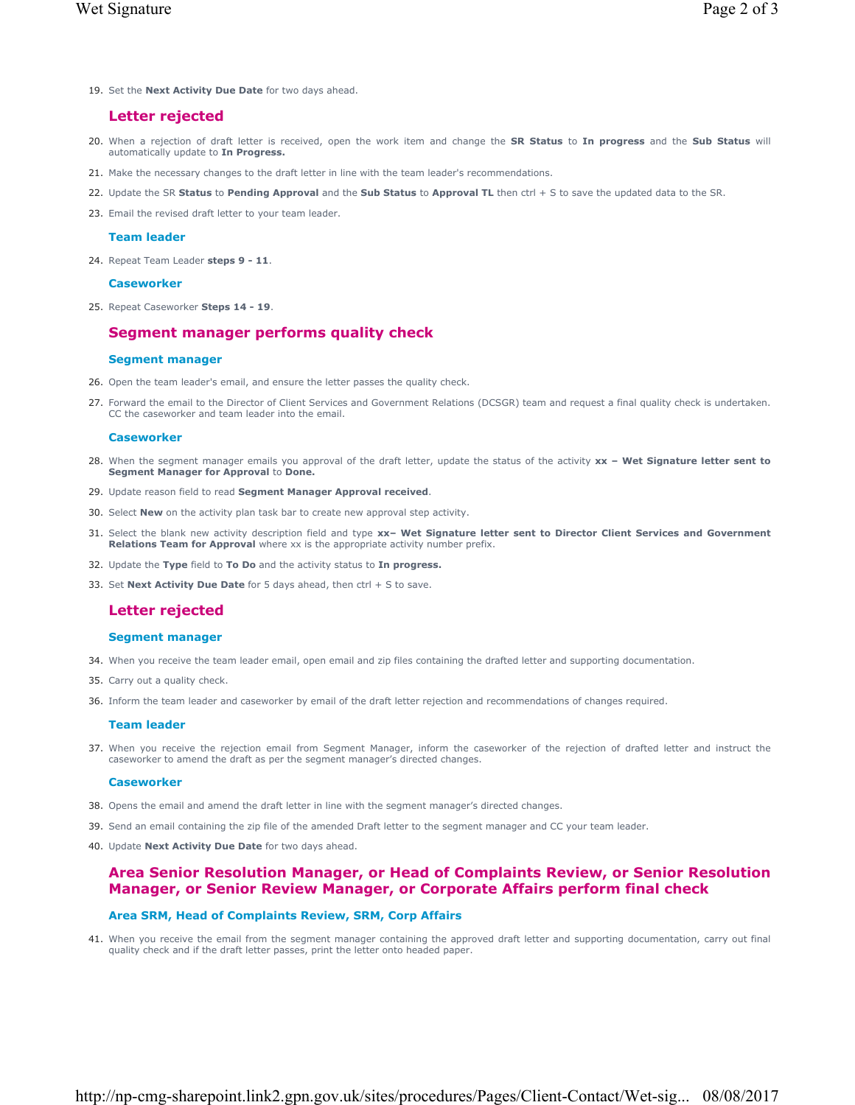19. Set the **Next Activity Due Date** for two days ahead.

# **Letter rejected**

- When a rejection of draft letter is received, open the work item and change the **SR Status** to **In progress** and the **Sub Status** will 20. automatically update to **In Progress.**
- 21. Make the necessary changes to the draft letter in line with the team leader's recommendations.
- 22. Update the SR **Status** to **Pending Approval** and the **Sub Status** to **Approval TL** then ctrl + S to save the updated data to the SR.
- 23. Email the revised draft letter to your team leader.

#### **Team leader**

24. Repeat Team Leader **steps 9 - 11**.

#### **Caseworker**

25. Repeat Caseworker **Steps 14 - 19**.

# **Segment manager performs quality check**

#### **Segment manager**

- 26. Open the team leader's email, and ensure the letter passes the quality check.
- 27. Forward the email to the Director of Client Services and Government Relations (DCSGR) team and request a final quality check is undertaken. CC the caseworker and team leader into the email.

#### **Caseworker**

- 28. When the segment manager emails you approval of the draft letter, update the status of the activity xx Wet Signature letter sent to **Segment Manager for Approval** to **Done.**
- 29. Update reason field to read **Segment Manager Approval received**.
- 30. Select **New** on the activity plan task bar to create new approval step activity.
- Select the blank new activity description field and type **xx– Wet Signature letter sent to Director Client Services and Government**  31. **Relations Team for Approval** where xx is the appropriate activity number prefix.
- 32. Update the **Type** field to **To Do** and the activity status to **In progress.**
- 33. Set **Next Activity Due Date** for 5 days ahead, then ctrl + S to save.

# **Letter rejected**

#### **Segment manager**

- 34. When you receive the team leader email, open email and zip files containing the drafted letter and supporting documentation.
- 35. Carry out a quality check.
- 36. Inform the team leader and caseworker by email of the draft letter rejection and recommendations of changes required.

#### **Team leader**

37. When you receive the rejection email from Segment Manager, inform the caseworker of the rejection of drafted letter and instruct the caseworker to amend the draft as per the segment manager's directed changes.

#### **Caseworker**

- 38. Opens the email and amend the draft letter in line with the segment manager's directed changes.
- 39. Send an email containing the zip file of the amended Draft letter to the segment manager and CC your team leader.
- 40. Update **Next Activity Due Date** for two days ahead.

# **Area Senior Resolution Manager, or Head of Complaints Review, or Senior Resolution Manager, or Senior Review Manager, or Corporate Affairs perform final check**

#### **Area SRM, Head of Complaints Review, SRM, Corp Affairs**

41. When you receive the email from the segment manager containing the approved draft letter and supporting documentation, carry out final quality check and if the draft letter passes, print the letter onto headed paper.